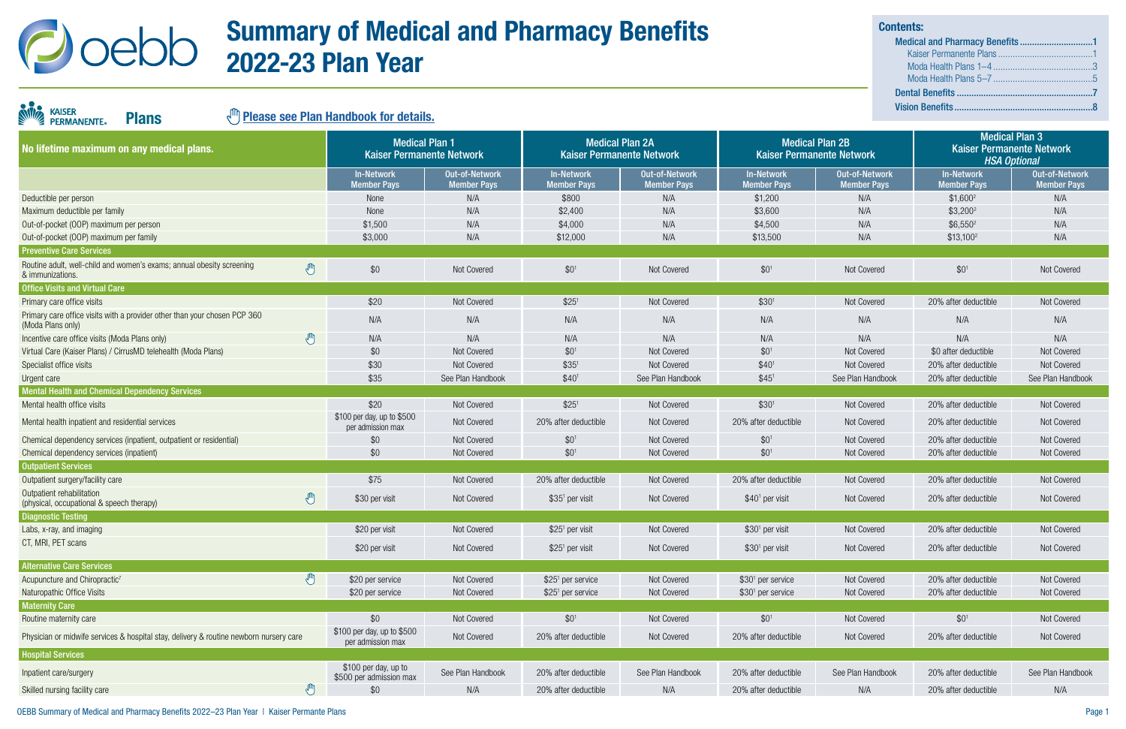

KAISER<br>PERMANENTE

| No lifetime maximum on any medical plans.                                                               | <b>Medical Plan 1</b><br><b>Kaiser Permanente Network</b> |                                      | <b>Medical Plan 2A</b><br><b>Kaiser Permanente Network</b> |                                      | <b>Medical Plan 2B</b>           | <b>Kaiser Permanente Network</b>     | <b>Medical Plan 3</b><br><b>Kaiser Permanente Network</b><br><b>HSA Optional</b> |                                             |
|---------------------------------------------------------------------------------------------------------|-----------------------------------------------------------|--------------------------------------|------------------------------------------------------------|--------------------------------------|----------------------------------|--------------------------------------|----------------------------------------------------------------------------------|---------------------------------------------|
|                                                                                                         | <b>In-Network</b><br><b>Member Pays</b>                   | Out-of-Network<br><b>Member Pays</b> | <b>In-Network</b><br><b>Member Pays</b>                    | Out-of-Network<br><b>Member Pays</b> | In-Network<br><b>Member Pays</b> | Out-of-Network<br><b>Member Pays</b> | <b>In-Network</b><br><b>Member Pays</b>                                          | <b>Out-of-Network</b><br><b>Member Pays</b> |
| Deductible per person                                                                                   | None                                                      | N/A                                  | \$800                                                      | N/A                                  | \$1,200                          | N/A                                  | $$1,600^2$                                                                       | N/A                                         |
| Maximum deductible per family                                                                           | None                                                      | N/A                                  | \$2,400                                                    | N/A                                  | \$3,600                          | N/A                                  | $$3,200^2$                                                                       | N/A                                         |
| Out-of-pocket (OOP) maximum per person                                                                  | \$1,500                                                   | N/A                                  | \$4,000                                                    | N/A                                  | \$4,500                          | N/A                                  | $$6,550^2$                                                                       | N/A                                         |
| Out-of-pocket (OOP) maximum per family                                                                  | \$3,000                                                   | N/A                                  | \$12,000                                                   | N/A                                  | \$13,500                         | N/A                                  | $$13,100^2$                                                                      | N/A                                         |
| <b>Preventive Care Services</b>                                                                         |                                                           |                                      |                                                            |                                      |                                  |                                      |                                                                                  |                                             |
| Routine adult, well-child and women's exams; annual obesity screening<br>$\sqrt{m}$<br>& immunizations. | \$0                                                       | Not Covered                          | $$0^1$                                                     | Not Covered                          | $$0^1$                           | Not Covered                          | $$0^1$                                                                           | Not Covered                                 |
| <b>Office Visits and Virtual Care</b>                                                                   |                                                           |                                      |                                                            |                                      |                                  |                                      |                                                                                  |                                             |
| Primary care office visits                                                                              | \$20                                                      | Not Covered                          | \$25 <sup>1</sup>                                          | Not Covered                          | \$30 <sup>1</sup>                | Not Covered                          | 20% after deductible                                                             | Not Covered                                 |
| Primary care office visits with a provider other than your chosen PCP 360<br>(Moda Plans only)          | N/A                                                       | N/A                                  | N/A                                                        | N/A                                  | N/A                              | N/A                                  | N/A                                                                              | N/A                                         |
| $\mathbb{C}$<br>Incentive care office visits (Moda Plans only)                                          | N/A                                                       | N/A                                  | N/A                                                        | N/A                                  | N/A                              | N/A                                  | N/A                                                                              | N/A                                         |
| Virtual Care (Kaiser Plans) / CirrusMD telehealth (Moda Plans)                                          | \$0                                                       | Not Covered                          | $$0^1$$                                                    | Not Covered                          | \$0 <sup>1</sup>                 | Not Covered                          | \$0 after deductible                                                             | Not Covered                                 |
| Specialist office visits                                                                                | \$30                                                      | Not Covered                          | $$35^1$                                                    | Not Covered                          | $$40$ <sup>1</sup>               | Not Covered                          | 20% after deductible                                                             | Not Covered                                 |
| Urgent care                                                                                             | \$35                                                      | See Plan Handbook                    | \$40 <sup>1</sup>                                          | See Plan Handbook                    | \$45'                            | See Plan Handbook                    | 20% after deductible                                                             | See Plan Handbook                           |
| <b>Mental Health and Chemical Dependency Services</b>                                                   |                                                           |                                      |                                                            |                                      |                                  |                                      |                                                                                  |                                             |
| Mental health office visits                                                                             | \$20                                                      | Not Covered                          | \$25 <sup>1</sup>                                          | Not Covered                          | \$30 <sup>1</sup>                | Not Covered                          | 20% after deductible                                                             | Not Covered                                 |
| Mental health inpatient and residential services                                                        | \$100 per day, up to \$500<br>per admission max           | Not Covered                          | 20% after deductible                                       | Not Covered                          | 20% after deductible             | Not Covered                          | 20% after deductible                                                             | Not Covered                                 |
| Chemical dependency services (inpatient, outpatient or residential)                                     | \$0                                                       | Not Covered                          | \$0 <sup>1</sup>                                           | Not Covered                          | \$0 <sup>1</sup>                 | Not Covered                          | 20% after deductible                                                             | Not Covered                                 |
| Chemical dependency services (inpatient)                                                                | \$0                                                       | Not Covered                          | \$0 <sup>1</sup>                                           | Not Covered                          | $$0^1$                           | Not Covered                          | 20% after deductible                                                             | Not Covered                                 |
| <b>Outpatient Services</b>                                                                              |                                                           |                                      |                                                            |                                      |                                  |                                      |                                                                                  |                                             |
| Outpatient surgery/facility care                                                                        | \$75                                                      | Not Covered                          | 20% after deductible                                       | Not Covered                          | 20% after deductible             | Not Covered                          | 20% after deductible                                                             | Not Covered                                 |
| Outpatient rehabilitation<br>$\mathbb{C}$<br>(physical, occupational & speech therapy)                  | \$30 per visit                                            | Not Covered                          | $$351$ per visit                                           | Not Covered                          | $$401$ per visit                 | Not Covered                          | 20% after deductible                                                             | Not Covered                                 |
| <b>Diagnostic Testing</b>                                                                               |                                                           |                                      |                                                            |                                      |                                  |                                      |                                                                                  |                                             |
| Labs, x-ray, and imaging                                                                                | \$20 per visit                                            | Not Covered                          | $$251$ per visit                                           | Not Covered                          | $$301$ per visit                 | Not Covered                          | 20% after deductible                                                             | Not Covered                                 |
| CT, MRI, PET scans                                                                                      | \$20 per visit                                            | Not Covered                          | $$251$ per visit                                           | Not Covered                          | \$30 <sup>1</sup> per visit      | Not Covered                          | 20% after deductible                                                             | Not Covered                                 |
| <b>Alternative Care Services</b>                                                                        |                                                           |                                      |                                                            |                                      |                                  |                                      |                                                                                  |                                             |
| $\mathbb{C}$<br>Acupuncture and Chiropractic <sup>7</sup>                                               | \$20 per service                                          | Not Covered                          | \$25 <sup>1</sup> per service                              | Not Covered                          | \$30 <sup>1</sup> per service    | Not Covered                          | 20% after deductible                                                             | Not Covered                                 |
| <b>Naturopathic Office Visits</b>                                                                       | \$20 per service                                          | Not Covered                          | $$251$ per service                                         | Not Covered                          | $$301$ per service               | Not Covered                          | 20% after deductible                                                             | Not Covered                                 |
| <b>Maternity Care</b>                                                                                   |                                                           |                                      |                                                            |                                      |                                  |                                      |                                                                                  |                                             |
| Routine maternity care                                                                                  | \$0                                                       | Not Covered                          | $$0^1$                                                     | Not Covered                          | $$0^1$                           | Not Covered                          | $$0^1$                                                                           | Not Covered                                 |
| Physician or midwife services & hospital stay, delivery & routine newborn nursery care                  | \$100 per day, up to \$500<br>per admission max           | Not Covered                          | 20% after deductible                                       | Not Covered                          | 20% after deductible             | Not Covered                          | 20% after deductible                                                             | Not Covered                                 |
| <b>Hospital Services</b>                                                                                |                                                           |                                      |                                                            |                                      |                                  |                                      |                                                                                  |                                             |
| Inpatient care/surgery                                                                                  | \$100 per day, up to<br>\$500 per admission max           | See Plan Handbook                    | 20% after deductible                                       | See Plan Handbook                    | 20% after deductible             | See Plan Handbook                    | 20% after deductible                                                             | See Plan Handbook                           |
| $\sqrt{2}$<br>Skilled nursing facility care                                                             | \$0                                                       | N/A                                  | 20% after deductible                                       | N/A                                  | 20% after deductible             | N/A                                  | 20% after deductible                                                             | N/A                                         |

# Summary of Medical and Pharmacy Benefits 2022-23 Plan Year

### **(III)** [Please see Plan Handbook for details.](https://www.oregon.gov/oha/OEBB/Pages/Handbooks.aspx)

Plans

| <b>Contents:</b> |  |
|------------------|--|
|                  |  |
|                  |  |
|                  |  |
|                  |  |
|                  |  |
|                  |  |
|                  |  |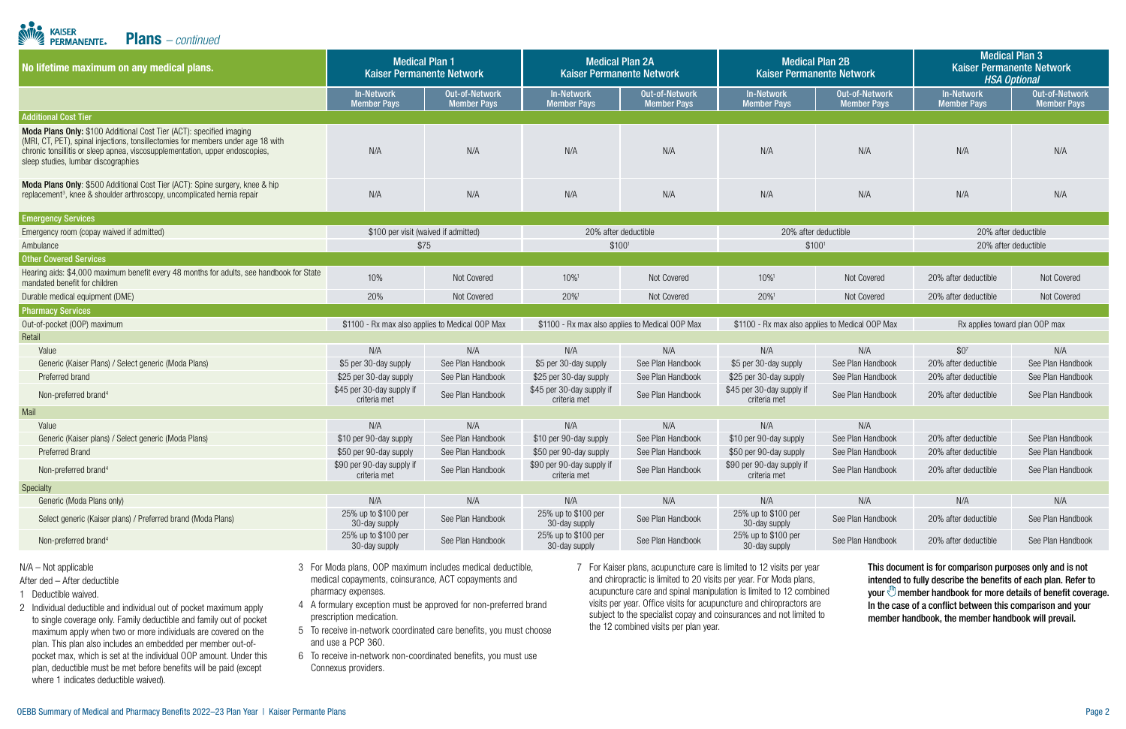| No lifetime maximum on any medical plans.                                                                                                                                                                                                                                       | <b>Medical Plan 1</b><br><b>Kaiser Permanente Network</b> |                                             | <b>Medical Plan 2A</b><br><b>Kaiser Permanente Network</b> |                                             | <b>Medical Plan 2B</b><br><b>Kaiser Permanente Network</b> |                                             | <b>Medical Plan 3</b><br><b>Kaiser Permanente Network</b><br><b>HSA Optional</b> |                                      |
|---------------------------------------------------------------------------------------------------------------------------------------------------------------------------------------------------------------------------------------------------------------------------------|-----------------------------------------------------------|---------------------------------------------|------------------------------------------------------------|---------------------------------------------|------------------------------------------------------------|---------------------------------------------|----------------------------------------------------------------------------------|--------------------------------------|
|                                                                                                                                                                                                                                                                                 | <b>In-Network</b><br><b>Member Pays</b>                   | <b>Out-of-Network</b><br><b>Member Pays</b> | <b>In-Network</b><br><b>Member Pays</b>                    | <b>Out-of-Network</b><br><b>Member Pays</b> | <b>In-Network</b><br><b>Member Pays</b>                    | <b>Out-of-Network</b><br><b>Member Pays</b> | <b>In-Network</b><br><b>Member Pays</b>                                          | Out-of-Network<br><b>Member Pays</b> |
| <b>Additional Cost Tier</b>                                                                                                                                                                                                                                                     |                                                           |                                             |                                                            |                                             |                                                            |                                             |                                                                                  |                                      |
| Moda Plans Only: \$100 Additional Cost Tier (ACT): specified imaging<br>(MRI, CT, PET), spinal injections, tonsillectomies for members under age 18 with<br>chronic tonsillitis or sleep apnea, viscosupplementation, upper endoscopies,<br>sleep studies, lumbar discographies | N/A                                                       | N/A                                         | N/A                                                        | N/A                                         | N/A                                                        | N/A                                         | N/A                                                                              | N/A                                  |
| Moda Plans Only: \$500 Additional Cost Tier (ACT): Spine surgery, knee & hip<br>replacement <sup>3</sup> , knee & shoulder arthroscopy, uncomplicated hernia repair                                                                                                             | N/A                                                       | N/A                                         | N/A                                                        | N/A                                         | N/A                                                        | N/A                                         | N/A                                                                              | N/A                                  |
| <b>Emergency Services</b>                                                                                                                                                                                                                                                       |                                                           |                                             |                                                            |                                             |                                                            |                                             |                                                                                  |                                      |
| Emergency room (copay waived if admitted)                                                                                                                                                                                                                                       | \$100 per visit (waived if admitted)                      |                                             | 20% after deductible                                       |                                             | 20% after deductible                                       |                                             | 20% after deductible                                                             |                                      |
| Ambulance                                                                                                                                                                                                                                                                       |                                                           | \$75                                        | \$100 <sup>1</sup>                                         |                                             | \$100 <sup>1</sup>                                         |                                             | 20% after deductible                                                             |                                      |
| <b>Other Covered Services</b>                                                                                                                                                                                                                                                   |                                                           |                                             |                                                            |                                             |                                                            |                                             |                                                                                  |                                      |
| Hearing aids: \$4,000 maximum benefit every 48 months for adults, see handbook for State<br>mandated benefit for children                                                                                                                                                       | 10%                                                       | Not Covered                                 | 10%                                                        | Not Covered                                 | 10%1                                                       | Not Covered                                 | 20% after deductible                                                             | Not Covered                          |
| Durable medical equipment (DME)                                                                                                                                                                                                                                                 | 20%                                                       | Not Covered                                 | 20%                                                        | Not Covered                                 | 20%                                                        | Not Covered                                 | 20% after deductible                                                             | Not Covered                          |
| <b>Pharmacy Services</b>                                                                                                                                                                                                                                                        |                                                           |                                             |                                                            |                                             |                                                            |                                             |                                                                                  |                                      |
| Out-of-pocket (OOP) maximum                                                                                                                                                                                                                                                     | \$1100 - Rx max also applies to Medical OOP Max           |                                             | \$1100 - Rx max also applies to Medical OOP Max            |                                             | \$1100 - Rx max also applies to Medical OOP Max            |                                             | Rx applies toward plan OOP max                                                   |                                      |
| Retail                                                                                                                                                                                                                                                                          |                                                           |                                             |                                                            |                                             |                                                            |                                             |                                                                                  |                                      |
| Value                                                                                                                                                                                                                                                                           | N/A                                                       | N/A                                         | N/A                                                        | N/A                                         | N/A                                                        | N/A                                         | $$0^7$                                                                           | N/A                                  |
| Generic (Kaiser Plans) / Select generic (Moda Plans)                                                                                                                                                                                                                            | \$5 per 30-day supply                                     | See Plan Handbook                           | \$5 per 30-day supply                                      | See Plan Handbook                           | \$5 per 30-day supply                                      | See Plan Handbook                           | 20% after deductible                                                             | See Plan Handbook                    |
| Preferred brand                                                                                                                                                                                                                                                                 | \$25 per 30-day supply                                    | See Plan Handbook                           | \$25 per 30-day supply                                     | See Plan Handbook                           | \$25 per 30-day supply                                     | See Plan Handbook                           | 20% after deductible                                                             | See Plan Handbook                    |
| Non-preferred brand <sup>4</sup>                                                                                                                                                                                                                                                | \$45 per 30-day supply if<br>criteria met                 | See Plan Handbook                           | \$45 per 30-day supply if<br>criteria met                  | See Plan Handbook                           | \$45 per 30-day supply if<br>criteria met                  | See Plan Handbook                           | 20% after deductible                                                             | See Plan Handbook                    |
| Mail                                                                                                                                                                                                                                                                            |                                                           |                                             |                                                            |                                             |                                                            |                                             |                                                                                  |                                      |
| Value                                                                                                                                                                                                                                                                           | N/A                                                       | N/A                                         | N/A                                                        | N/A                                         | N/A                                                        | N/A                                         |                                                                                  |                                      |
| Generic (Kaiser plans) / Select generic (Moda Plans)                                                                                                                                                                                                                            | \$10 per 90-day supply                                    | See Plan Handbook                           | \$10 per 90-day supply                                     | See Plan Handbook                           | \$10 per 90-day supply                                     | See Plan Handbook                           | 20% after deductible                                                             | See Plan Handbook                    |
| <b>Preferred Brand</b>                                                                                                                                                                                                                                                          | \$50 per 90-day supply                                    | See Plan Handbook                           | \$50 per 90-day supply                                     | See Plan Handbook                           | \$50 per 90-day supply                                     | See Plan Handbook                           | 20% after deductible                                                             | See Plan Handbook                    |
| Non-preferred brand <sup>4</sup>                                                                                                                                                                                                                                                | \$90 per 90-day supply if<br>criteria met                 | See Plan Handbook                           | \$90 per 90-day supply if<br>criteria met                  | See Plan Handbook                           | \$90 per 90-day supply if<br>criteria met                  | See Plan Handbook                           | 20% after deductible                                                             | See Plan Handbook                    |
| Specialty                                                                                                                                                                                                                                                                       |                                                           |                                             |                                                            |                                             |                                                            |                                             |                                                                                  |                                      |
| Generic (Moda Plans only)                                                                                                                                                                                                                                                       | N/A                                                       | N/A                                         | N/A                                                        | N/A                                         | N/A                                                        | N/A                                         | N/A                                                                              | N/A                                  |
| Select generic (Kaiser plans) / Preferred brand (Moda Plans)                                                                                                                                                                                                                    | 25% up to \$100 per<br>30-day supply                      | See Plan Handbook                           | 25% up to \$100 per<br>30-day supply                       | See Plan Handbook                           | 25% up to \$100 per<br>30-day supply                       | See Plan Handbook                           | 20% after deductible                                                             | See Plan Handbook                    |
| Non-preferred brand <sup>4</sup>                                                                                                                                                                                                                                                | 25% up to \$100 per<br>30-day supply                      | See Plan Handbook                           | 25% up to \$100 per<br>30-day supply                       | See Plan Handbook                           | 25% up to \$100 per<br>30-day supply                       | See Plan Handbook                           | 20% after deductible                                                             | See Plan Handbook                    |

**KAISER<br>PERMANENTE**® Plans *– continued*

#### N/A – Not applicable

#### After ded – After deductible

- 1 Deductible waived.
- 2 Individual deductible and individual out of pocket maximum apply to single coverage only. Family deductible and family out of pocket maximum apply when two or more individuals are covered on the plan. This plan also includes an embedded per member out-ofpocket max, which is set at the individual OOP amount. Under this plan, deductible must be met before benefits will be paid (except where 1 indicates deductible waived).
- 3 For Moda plans, OOP maximum includes medical deductible, medical copayments, coinsurance, ACT copayments and pharmacy expenses.
- 4 A formulary exception must be approved for non-preferred brand prescription medication.
- 5 To receive in-network coordinated care benefits, you must choose and use a PCP 360.
- 6 To receive in-network non-coordinated benefits, you must use Connexus providers.
- 7 For Kaiser plans, acupuncture care is limited to 12 visits per year and chiropractic is limited to 20 visits per year. For Moda plans, acupuncture care and spinal manipulation is limited to 12 combined visits per year. Office visits for acupuncture and chiropractors are subject to the specialist copay and coinsurances and not limited to the 12 combined visits per plan year.

This document is for comparison purposes only and is not intended to fully describe the benefits of each plan. Refer to your  $\mathbb{U}$  member handbook for more details of benefit coverage. In the case of a conflict between this comparison and your member handbook, the member handbook will prevail.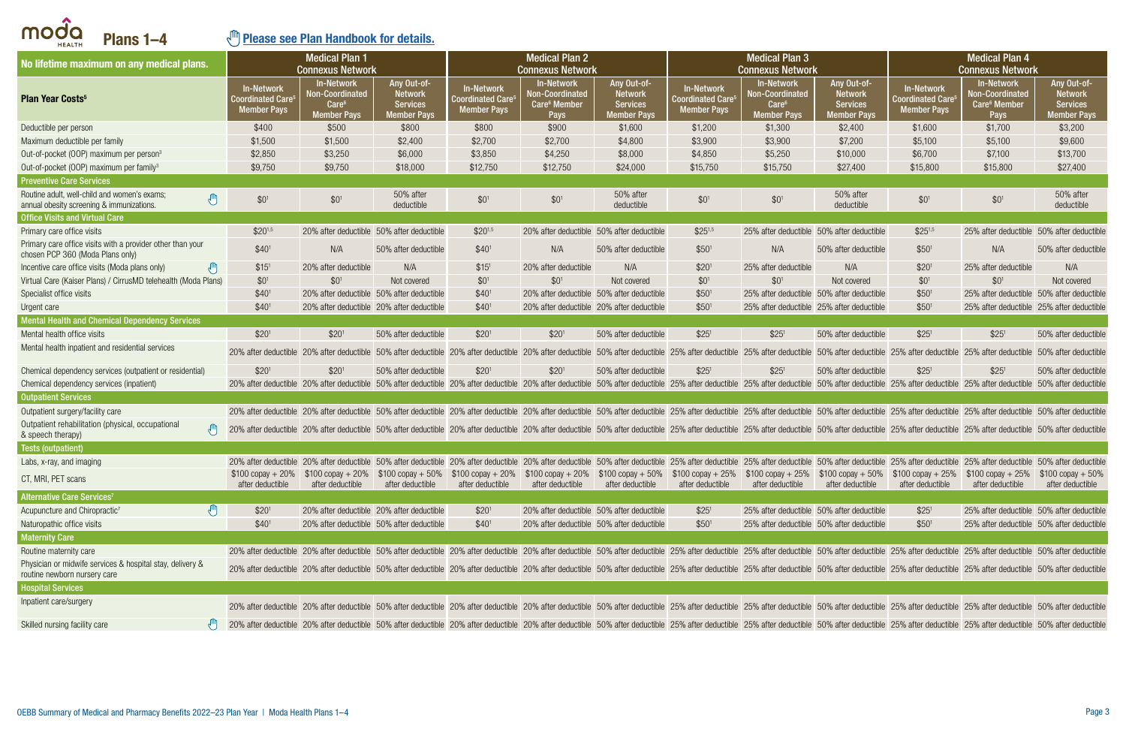<span id="page-2-0"></span>

| Plans 1-4<br><b>HEALTH</b>                                                                     |                                                            | ") Please see Plan Handbook for details.                                        |                                                                         |                                                                    |                                                                   |                                                                                                                                                                                                                                                                  |                                                                        |                                                                                 |                                                                        |                                                                          |                                                                          |                                                                        |
|------------------------------------------------------------------------------------------------|------------------------------------------------------------|---------------------------------------------------------------------------------|-------------------------------------------------------------------------|--------------------------------------------------------------------|-------------------------------------------------------------------|------------------------------------------------------------------------------------------------------------------------------------------------------------------------------------------------------------------------------------------------------------------|------------------------------------------------------------------------|---------------------------------------------------------------------------------|------------------------------------------------------------------------|--------------------------------------------------------------------------|--------------------------------------------------------------------------|------------------------------------------------------------------------|
| No lifetime maximum on any medical plans.                                                      |                                                            | <b>Medical Plan 1</b><br><b>Connexus Network</b>                                |                                                                         |                                                                    | <b>Medical Plan 2</b><br><b>Connexus Network</b>                  |                                                                                                                                                                                                                                                                  |                                                                        | <b>Medical Plan 3</b><br><b>Connexus Network</b>                                |                                                                        |                                                                          | <b>Medical Plan 4</b><br><b>Connexus Network</b>                         |                                                                        |
| <b>Plan Year Costs<sup>5</sup></b>                                                             | In-Network<br>Coordinated Care <sup>s</sup><br>Member Pays | <b>In-Network</b><br>Non-Coordinated<br>Care <sup>6</sup><br><b>Member Pays</b> | Any Out-of-<br><b>Network</b><br><b>Services</b><br>Member P <u>ays</u> | <b>In-Network</b><br><b>Coordinated Care</b><br><b>Member Pays</b> | In-Network<br>Non-Coordinated<br>Care <sup>6</sup> Member<br>Pays | Any Out-of-<br><b>Network</b><br><b>Services</b><br><b>Member Pays</b>                                                                                                                                                                                           | <b>In-Network</b><br>Coordinated Care $^{\rm 5}$<br><b>Member Pays</b> | In-Network<br><b>Non-Coordinated</b><br>Care <sup>6</sup><br><b>Member Pays</b> | Any Out-of-<br><b>Network</b><br><b>Services</b><br><b>Member Pays</b> | <b>In-Network</b><br>coordinated Care <sup>®</sup><br><b>Member Pays</b> | In-Network<br>Non-Coordinated<br>Care <sup>6</sup> Member<br><b>Pays</b> | Any Out-of-<br><b>Network</b><br><b>Services</b><br><b>Member Pays</b> |
| Deductible per person                                                                          | \$400                                                      | \$500                                                                           | \$800                                                                   | \$800                                                              | \$900                                                             | \$1,600                                                                                                                                                                                                                                                          | \$1,200                                                                | \$1,300                                                                         | \$2,400                                                                | \$1,600                                                                  | \$1,700                                                                  | \$3,200                                                                |
| Maximum deductible per family                                                                  | \$1,500                                                    | \$1,500                                                                         | \$2,400                                                                 | \$2,700                                                            | \$2,700                                                           | \$4,800                                                                                                                                                                                                                                                          | \$3,900                                                                | \$3,900                                                                         | \$7,200                                                                | \$5,100                                                                  | \$5,100                                                                  | \$9,600                                                                |
| Out-of-pocket (OOP) maximum per person <sup>3</sup>                                            | \$2,850                                                    | \$3,250                                                                         | \$6,000                                                                 | \$3,850                                                            | \$4,250                                                           | \$8,000                                                                                                                                                                                                                                                          | \$4,850                                                                | \$5,250                                                                         | \$10,000                                                               | \$6,700                                                                  | \$7,100                                                                  | \$13,700                                                               |
| Out-of-pocket (OOP) maximum per family <sup>3</sup>                                            | \$9,750                                                    | \$9,750                                                                         | \$18,000                                                                | \$12,750                                                           | \$12,750                                                          | \$24,000                                                                                                                                                                                                                                                         | \$15,750                                                               | \$15,750                                                                        | \$27,400                                                               | \$15,800                                                                 | \$15,800                                                                 | \$27,400                                                               |
| <b>Preventive Care Services</b>                                                                |                                                            |                                                                                 |                                                                         |                                                                    |                                                                   |                                                                                                                                                                                                                                                                  |                                                                        |                                                                                 |                                                                        |                                                                          |                                                                          |                                                                        |
| Routine adult, well-child and women's exams;<br>J<br>annual obesity screening & immunizations. | $$0^1$                                                     | \$0 <sup>1</sup>                                                                | 50% after<br>deductible                                                 | \$0 <sup>1</sup>                                                   | \$0 <sup>1</sup>                                                  | 50% after<br>deductible                                                                                                                                                                                                                                          | $$0^1$$                                                                | $$0^1$$                                                                         | 50% after<br>deductible                                                | \$0 <sup>1</sup>                                                         | \$0 <sup>1</sup>                                                         | 50% after<br>deductible                                                |
| <b>Office Visits and Virtual Care</b>                                                          |                                                            |                                                                                 |                                                                         |                                                                    |                                                                   |                                                                                                                                                                                                                                                                  |                                                                        |                                                                                 |                                                                        |                                                                          |                                                                          |                                                                        |
| Primary care office visits                                                                     | $$20^{1,5}$                                                |                                                                                 | 20% after deductible 50% after deductible                               | $$20^{1,5}$                                                        |                                                                   | 20% after deductible 50% after deductible                                                                                                                                                                                                                        | $$25^{1,5}$                                                            |                                                                                 | 25% after deductible 50% after deductible                              | $$25^{1,5}$                                                              |                                                                          | 25% after deductible 50% after deductible                              |
| Primary care office visits with a provider other than your<br>chosen PCP 360 (Moda Plans only) | \$40 <sup>1</sup>                                          | N/A                                                                             | 50% after deductible                                                    | \$40 <sup>1</sup>                                                  | N/A                                                               | 50% after deductible                                                                                                                                                                                                                                             | \$50 <sup>1</sup>                                                      | N/A                                                                             | 50% after deductible                                                   | \$50 <sup>1</sup>                                                        | N/A                                                                      | 50% after deductible                                                   |
| $\sqrt{m}$<br>Incentive care office visits (Moda plans only)                                   | \$15 <sup>1</sup>                                          | 20% after deductible                                                            | N/A                                                                     | \$15 <sup>1</sup>                                                  | 20% after deductible                                              | N/A                                                                                                                                                                                                                                                              | \$20 <sup>1</sup>                                                      | 25% after deductible                                                            | N/A                                                                    | \$20 <sup>1</sup>                                                        | 25% after deductible                                                     | N/A                                                                    |
| Virtual Care (Kaiser Plans) / CirrusMD telehealth (Moda Plans)                                 | \$0 <sup>1</sup>                                           | \$0 <sup>1</sup>                                                                | Not covered                                                             | \$0 <sup>1</sup>                                                   | \$0 <sup>1</sup>                                                  | Not covered                                                                                                                                                                                                                                                      | \$0 <sup>1</sup>                                                       | \$0 <sup>1</sup>                                                                | Not covered                                                            | \$0 <sup>1</sup>                                                         | \$0 <sup>1</sup>                                                         | Not covered                                                            |
| Specialist office visits                                                                       | \$40 <sup>1</sup>                                          |                                                                                 | 20% after deductible 50% after deductible                               | \$40 <sup>1</sup>                                                  |                                                                   | 20% after deductible 50% after deductible                                                                                                                                                                                                                        | \$50 <sup>1</sup>                                                      |                                                                                 | 25% after deductible 50% after deductible                              | \$50 <sup>1</sup>                                                        |                                                                          | 25% after deductible 50% after deductible                              |
| Urgent care                                                                                    | \$40 <sup>1</sup>                                          |                                                                                 | 20% after deductible 20% after deductible                               | \$40 <sup>1</sup>                                                  |                                                                   | 20% after deductible 20% after deductible                                                                                                                                                                                                                        | \$50 <sup>1</sup>                                                      |                                                                                 | 25% after deductible 25% after deductible                              | \$50 <sup>1</sup>                                                        |                                                                          | 25% after deductible 25% after deductible                              |
| <b>Mental Health and Chemical Dependency Services</b>                                          |                                                            |                                                                                 |                                                                         |                                                                    |                                                                   |                                                                                                                                                                                                                                                                  |                                                                        |                                                                                 |                                                                        |                                                                          |                                                                          |                                                                        |
| Mental health office visits                                                                    | \$20 <sup>1</sup>                                          | \$20 <sup>1</sup>                                                               | 50% after deductible                                                    | \$20 <sup>1</sup>                                                  | \$20 <sup>1</sup>                                                 | 50% after deductible                                                                                                                                                                                                                                             | \$25 <sup>1</sup>                                                      | \$25 <sup>1</sup>                                                               | 50% after deductible                                                   | \$25 <sup>1</sup>                                                        | \$25 <sup>1</sup>                                                        | 50% after deductible                                                   |
| Mental health inpatient and residential services                                               |                                                            |                                                                                 |                                                                         |                                                                    |                                                                   | 20% after deductible 20% after deductible 50% after deductible 20% after deductible 20% after deductible 20% after deductible 50% after deductible 50% after deductible 50% after deductible 25% after deductible 50% after de                                   |                                                                        |                                                                                 |                                                                        |                                                                          |                                                                          |                                                                        |
| Chemical dependency services (outpatient or residential)                                       | \$20 <sup>1</sup>                                          | \$20 <sup>1</sup>                                                               | 50% after deductible                                                    | \$20 <sup>1</sup>                                                  | \$20 <sup>1</sup>                                                 | 50% after deductible                                                                                                                                                                                                                                             | \$25 <sup>1</sup>                                                      | \$25 <sup>1</sup>                                                               | 50% after deductible                                                   | \$25 <sup>1</sup>                                                        | \$25 <sup>1</sup>                                                        | 50% after deductible                                                   |
| Chemical dependency services (inpatient)                                                       |                                                            |                                                                                 |                                                                         |                                                                    |                                                                   | 20% after deductible 20% after deductible 50% after deductible 20% after deductible 20% after deductible 50% after deductible 50% after deductible 50% after deductible 50% after deductible 50% after deductible 50% after de                                   |                                                                        |                                                                                 |                                                                        |                                                                          |                                                                          |                                                                        |
| <b>Outpatient Services</b>                                                                     |                                                            |                                                                                 |                                                                         |                                                                    |                                                                   |                                                                                                                                                                                                                                                                  |                                                                        |                                                                                 |                                                                        |                                                                          |                                                                          |                                                                        |
| Outpatient surgery/facility care                                                               |                                                            |                                                                                 |                                                                         |                                                                    |                                                                   | 20% after deductible 20% after deductible 50% after deductible 20% after deductible 20% after deductible 20% after deductible 50% after deductible 50% after deductible 50% after deductible 25% after deductible 50% after de                                   |                                                                        |                                                                                 |                                                                        |                                                                          |                                                                          |                                                                        |
| Outpatient rehabilitation (physical, occupational<br>$\sqrt{m}$<br>& speech therapy)           |                                                            |                                                                                 |                                                                         |                                                                    |                                                                   | 20% after deductible 20% after deductible 50% after deductible 20% after deductible 20% after deductible 50% after deductible 50% after deductible 25% after deductible 50% after deductible 50% after deductible 25% after de                                   |                                                                        |                                                                                 |                                                                        |                                                                          |                                                                          |                                                                        |
| Tests (outpatient)                                                                             |                                                            |                                                                                 |                                                                         |                                                                    |                                                                   |                                                                                                                                                                                                                                                                  |                                                                        |                                                                                 |                                                                        |                                                                          |                                                                          |                                                                        |
| Labs, x-ray, and imaging                                                                       |                                                            |                                                                                 |                                                                         |                                                                    |                                                                   | 20% after deductible 20% after deductible 50% after deductible 20% after deductible 20% after deductible 20% after deductible 50% after deductible 50% after deductible 50% after deductible 25% after deductible 50% after de                                   |                                                                        |                                                                                 |                                                                        |                                                                          |                                                                          |                                                                        |
| CT, MRI, PET scans                                                                             | after deductible                                           | after deductible                                                                | after deductible                                                        | after deductible                                                   | after deductible                                                  | \$100 copay + 20% \$100 copay + 20% \$100 copay + 50% \$100 copay + 20% \$100 copay + 20% \$100 copay + 50% \$100 copay + 25% \$100 copay + 50% \$100 copay + 25% \$100 copay + 25% \$100 copay + 25% \$100 copay + 25% \$100 copay + 25% \$<br>after deductible | after deductible                                                       | after deductible                                                                | after deductible                                                       | after deductible                                                         | after deductible                                                         | after deductible                                                       |
| Alternative Care Services <sup>7</sup>                                                         |                                                            |                                                                                 |                                                                         |                                                                    |                                                                   |                                                                                                                                                                                                                                                                  |                                                                        |                                                                                 |                                                                        |                                                                          |                                                                          |                                                                        |
| Acupuncture and Chiropractic <sup>7</sup>                                                      | \$20 <sup>1</sup>                                          |                                                                                 | 20% after deductible 20% after deductible                               | \$20 <sup>1</sup>                                                  |                                                                   | 20% after deductible 50% after deductible                                                                                                                                                                                                                        | \$25'                                                                  |                                                                                 | 25% after deductible 50% after deductible                              | \$25 <sup>1</sup>                                                        |                                                                          | 25% after deductible 50% after deductible                              |
| Naturopathic office visits                                                                     | \$40 <sup>1</sup>                                          |                                                                                 | 20% after deductible 50% after deductible                               | \$40 <sup>1</sup>                                                  |                                                                   | 20% after deductible 50% after deductible                                                                                                                                                                                                                        | \$50 <sup>1</sup>                                                      |                                                                                 | 25% after deductible 50% after deductible                              | \$50 <sup>1</sup>                                                        |                                                                          | 25% after deductible 50% after deductible                              |
| <b>Maternity Care</b>                                                                          |                                                            |                                                                                 |                                                                         |                                                                    |                                                                   |                                                                                                                                                                                                                                                                  |                                                                        |                                                                                 |                                                                        |                                                                          |                                                                          |                                                                        |
| Routine maternity care                                                                         |                                                            |                                                                                 |                                                                         |                                                                    |                                                                   | 20% after deductible 20% after deductible 50% after deductible 20% after deductible 20% after deductible 20% after deductible 50% after deductible 50% after deductible 25% after deductible 25% after deductible 50% after de                                   |                                                                        |                                                                                 |                                                                        |                                                                          |                                                                          |                                                                        |
| Physician or midwife services & hospital stay, delivery &<br>routine newborn nursery care      |                                                            |                                                                                 |                                                                         |                                                                    |                                                                   | 20% after deductible 20% after deductible 50% after deductible 20% after deductible 20% after deductible 20% after deductible 50% after deductible 50% after deductible 50% after deductible 25% after deductible 50% after de                                   |                                                                        |                                                                                 |                                                                        |                                                                          |                                                                          |                                                                        |
| <b>Hospital Services</b>                                                                       |                                                            |                                                                                 |                                                                         |                                                                    |                                                                   |                                                                                                                                                                                                                                                                  |                                                                        |                                                                                 |                                                                        |                                                                          |                                                                          |                                                                        |
| Inpatient care/surgery                                                                         |                                                            |                                                                                 |                                                                         |                                                                    |                                                                   | 20% after deductible 20% after deductible 50% after deductible 20% after deductible 20% after deductible 20% after deductible 50% after deductible 50% after deductible 50% after deductible 25% after deductible 50% after de                                   |                                                                        |                                                                                 |                                                                        |                                                                          |                                                                          |                                                                        |
| Skilled nursing facility care                                                                  |                                                            |                                                                                 |                                                                         |                                                                    |                                                                   | 20% after deductible 20% after deductible 50% after deductible 20% after deductible 20% after deductible 20% after deductible 50% after deductible 50% after deductible 25% after deductible 25% after deductible 50% after de                                   |                                                                        |                                                                                 |                                                                        |                                                                          |                                                                          |                                                                        |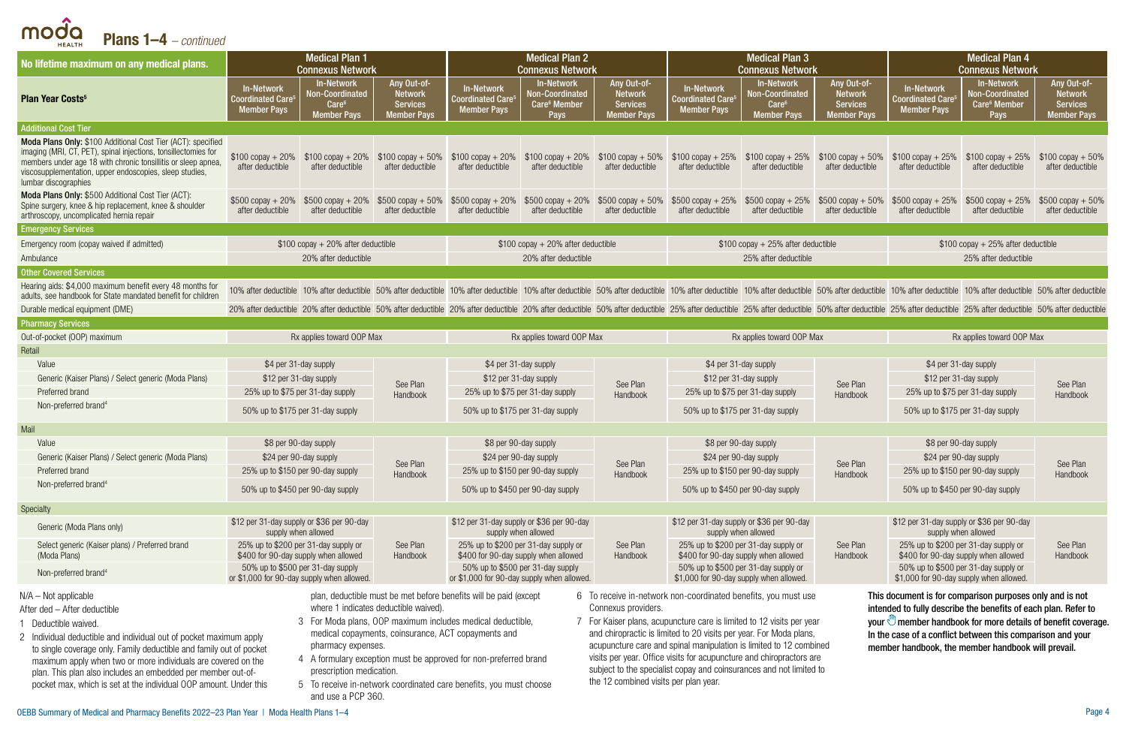Plans 1–4 *– continued*

moda

HEALTH

| No lifetime maximum on any medical plans.                                                                                                                                                                                                                                          |                                                                                | <b>Medical Plan 1</b><br><b>Connexus Network</b>                                |                                                                 | <b>Medical Plan 2</b><br><b>Connexus Network</b>                                                                                                                                                                               |                                                                                        |                                                                        | <b>Medical Plan 3</b><br><b>Connexus Network</b>                             |                                                                                                 |                                                                        | <b>Medical Plan 4</b><br><b>Connexus Network</b>                               |                                                                          |                                                                        |
|------------------------------------------------------------------------------------------------------------------------------------------------------------------------------------------------------------------------------------------------------------------------------------|--------------------------------------------------------------------------------|---------------------------------------------------------------------------------|-----------------------------------------------------------------|--------------------------------------------------------------------------------------------------------------------------------------------------------------------------------------------------------------------------------|----------------------------------------------------------------------------------------|------------------------------------------------------------------------|------------------------------------------------------------------------------|-------------------------------------------------------------------------------------------------|------------------------------------------------------------------------|--------------------------------------------------------------------------------|--------------------------------------------------------------------------|------------------------------------------------------------------------|
| <b>Plan Year Costs<sup>5</sup></b>                                                                                                                                                                                                                                                 | <b>In-Network</b><br><b>Coordinated Care<sup>®</sup></b><br><b>Member Pays</b> | <b>In-Network</b><br>Non-Coordinated<br>Care <sup>6</sup><br><b>Member Pays</b> | Any Out-of-<br><b>Network</b><br><b>Services</b><br>Member Pays | <b>In-Network</b><br><b>Coordinated Care</b><br><b>Member Pays</b>                                                                                                                                                             | <b>In-Network</b><br><b>Non-Coordinated</b><br>Care <sup>6</sup> Member<br><b>Pays</b> | Any Out-of-<br><b>Network</b><br><b>Services</b><br><b>Member Pays</b> | In-Network<br><b>Coordinated Care</b> <sup>5</sup><br><b>Member Pays</b>     | In-Network<br>Non-Coordinated<br>Care <sup>6</sup><br><b>Member Pavs</b>                        | Any Out-of-<br><b>Network</b><br><b>Services</b><br><b>Member Pays</b> | <b>In-Network</b><br><b>Coordinated Care<sup>5</sup></b><br><b>Member Pays</b> | <b>In-Network</b><br>Non-Coordinated<br>Care <sup>6</sup> Member<br>Pays | Any Out-of-<br><b>Network</b><br><b>Services</b><br><b>Member Pays</b> |
| <b>Additional Cost Tier</b>                                                                                                                                                                                                                                                        |                                                                                |                                                                                 |                                                                 |                                                                                                                                                                                                                                |                                                                                        |                                                                        |                                                                              |                                                                                                 |                                                                        |                                                                                |                                                                          |                                                                        |
| Moda Plans Only: \$100 Additional Cost Tier (ACT): specified<br>imaging (MRI, CT, PET), spinal injections, tonsillectomies for<br>members under age 18 with chronic tonsillitis or sleep apnea,<br>viscosupplementation, upper endoscopies, sleep studies,<br>lumbar discographies | $$100$ copay + 20%<br>after deductible                                         | $$100 copay + 20\%$<br>after deductible                                         | after deductible                                                | $$100$ copay + 50% $$100$ copay + 20%<br>after deductible                                                                                                                                                                      | $$100 copay + 20\%$<br>after deductible                                                | $$100$ copay + 50%<br>after deductible                                 | after deductible                                                             | $$100$ copay + 25% $$100$ copay + 25% $$100$ copay + 50% $$100$ copay + 25%<br>after deductible | after deductible                                                       | after deductible                                                               | $$100$ copay + 25%<br>after deductible                                   | $$100$ copay + 50%<br>after deductible                                 |
| Moda Plans Only: \$500 Additional Cost Tier (ACT):<br>Spine surgery, knee & hip replacement, knee & shoulder<br>arthroscopy, uncomplicated hernia repair                                                                                                                           | $$500$ copay + 20%<br>after deductible                                         | $$500$ copay + 20%<br>after deductible                                          | $$500$ copay + $50\%$<br>after deductible                       | $$500$ copay + 20%<br>after deductible                                                                                                                                                                                         | $$500$ copay + 20%<br>after deductible                                                 | $$500$ copay + 50%<br>after deductible                                 | after deductible                                                             | $$500$ copay + 25% $$500$ copay + 25% $$500$ copay + 50%<br>after deductible                    | after deductible                                                       | $$500$ copay + 25%<br>after deductible                                         | $$500$ copay + 25%<br>after deductible                                   | $$500$ copay + $50\%$<br>after deductible                              |
| <b>Emergency Services</b>                                                                                                                                                                                                                                                          |                                                                                |                                                                                 |                                                                 |                                                                                                                                                                                                                                |                                                                                        |                                                                        |                                                                              |                                                                                                 |                                                                        |                                                                                |                                                                          |                                                                        |
| Emergency room (copay waived if admitted)                                                                                                                                                                                                                                          |                                                                                | $$100$ copay + 20% after deductible                                             |                                                                 |                                                                                                                                                                                                                                | $$100$ copay + 20% after deductible                                                    |                                                                        |                                                                              | $$100$ copay + 25% after deductible                                                             |                                                                        | $$100$ copay + 25% after deductible                                            |                                                                          |                                                                        |
| Ambulance                                                                                                                                                                                                                                                                          |                                                                                | 20% after deductible                                                            |                                                                 | 20% after deductible                                                                                                                                                                                                           |                                                                                        |                                                                        |                                                                              | 25% after deductible                                                                            |                                                                        | 25% after deductible                                                           |                                                                          |                                                                        |
| <b>Other Covered Services</b>                                                                                                                                                                                                                                                      |                                                                                |                                                                                 |                                                                 |                                                                                                                                                                                                                                |                                                                                        |                                                                        |                                                                              |                                                                                                 |                                                                        |                                                                                |                                                                          |                                                                        |
| Hearing aids: \$4,000 maximum benefit every 48 months for<br>adults, see handbook for State mandated benefit for children                                                                                                                                                          |                                                                                |                                                                                 |                                                                 | 10% after deductible 10% after deductible 50% after deductible 10% after deductible 10% after deductible 10% after deductible 50% after deductible 50% after deductible 10% after deductible 50% after deductible 10% after de |                                                                                        |                                                                        |                                                                              |                                                                                                 |                                                                        |                                                                                |                                                                          |                                                                        |
| Durable medical equipment (DME)                                                                                                                                                                                                                                                    |                                                                                |                                                                                 |                                                                 | 20% after deductible 20% after deductible 50% after deductible 20% after deductible 20% after deductible 20% after deductible 50% after deductible 50% after deductible 25% after deductible 25% after deductible 25% after de |                                                                                        |                                                                        |                                                                              |                                                                                                 |                                                                        |                                                                                |                                                                          |                                                                        |
| <b>Pharmacy Services</b>                                                                                                                                                                                                                                                           |                                                                                |                                                                                 |                                                                 |                                                                                                                                                                                                                                |                                                                                        |                                                                        |                                                                              |                                                                                                 |                                                                        |                                                                                |                                                                          |                                                                        |
|                                                                                                                                                                                                                                                                                    |                                                                                |                                                                                 |                                                                 |                                                                                                                                                                                                                                | Rx applies toward OOP Max                                                              |                                                                        |                                                                              | Rx applies toward OOP Max                                                                       |                                                                        |                                                                                | Rx applies toward OOP Max                                                |                                                                        |
| Out-of-pocket (OOP) maximum                                                                                                                                                                                                                                                        |                                                                                | Rx applies toward OOP Max                                                       |                                                                 |                                                                                                                                                                                                                                |                                                                                        |                                                                        |                                                                              |                                                                                                 |                                                                        |                                                                                |                                                                          |                                                                        |
| Retail                                                                                                                                                                                                                                                                             |                                                                                |                                                                                 |                                                                 |                                                                                                                                                                                                                                |                                                                                        |                                                                        |                                                                              |                                                                                                 |                                                                        |                                                                                |                                                                          |                                                                        |
| Value                                                                                                                                                                                                                                                                              | \$4 per 31-day supply                                                          |                                                                                 |                                                                 | \$4 per 31-day supply                                                                                                                                                                                                          |                                                                                        |                                                                        | \$4 per 31-day supply                                                        |                                                                                                 |                                                                        | \$4 per 31-day supply                                                          |                                                                          |                                                                        |
| Generic (Kaiser Plans) / Select generic (Moda Plans)                                                                                                                                                                                                                               |                                                                                | \$12 per 31-day supply                                                          |                                                                 | \$12 per 31-day supply                                                                                                                                                                                                         |                                                                                        |                                                                        | \$12 per 31-day supply                                                       |                                                                                                 |                                                                        | \$12 per 31-day supply                                                         |                                                                          |                                                                        |
| Preferred brand                                                                                                                                                                                                                                                                    |                                                                                | 25% up to \$75 per 31-day supply                                                | See Plan                                                        | 25% up to \$75 per 31-day supply                                                                                                                                                                                               |                                                                                        | See Plan<br>Handbook                                                   | 25% up to \$75 per 31-day supply                                             |                                                                                                 | See Plan                                                               | 25% up to \$75 per 31-day supply                                               |                                                                          | See Plan<br>Handbook                                                   |
| Non-preferred brand <sup>4</sup>                                                                                                                                                                                                                                                   | 50% up to \$175 per 31-day supply                                              |                                                                                 | Handbook                                                        | 50% up to \$175 per 31-day supply                                                                                                                                                                                              |                                                                                        |                                                                        | 50% up to \$175 per 31-day supply                                            |                                                                                                 | Handbook                                                               | 50% up to \$175 per 31-day supply                                              |                                                                          |                                                                        |
| Mail                                                                                                                                                                                                                                                                               |                                                                                |                                                                                 |                                                                 |                                                                                                                                                                                                                                |                                                                                        |                                                                        |                                                                              |                                                                                                 |                                                                        |                                                                                |                                                                          |                                                                        |
| Value                                                                                                                                                                                                                                                                              | \$8 per 90-day supply                                                          |                                                                                 |                                                                 | \$8 per 90-day supply                                                                                                                                                                                                          |                                                                                        |                                                                        | \$8 per 90-day supply                                                        |                                                                                                 |                                                                        | \$8 per 90-day supply                                                          |                                                                          |                                                                        |
| Generic (Kaiser Plans) / Select generic (Moda Plans)                                                                                                                                                                                                                               |                                                                                | \$24 per 90-day supply                                                          |                                                                 | \$24 per 90-day supply                                                                                                                                                                                                         |                                                                                        |                                                                        |                                                                              | \$24 per 90-day supply                                                                          |                                                                        | \$24 per 90-day supply                                                         |                                                                          |                                                                        |
| Preferred brand                                                                                                                                                                                                                                                                    | 25% up to \$150 per 90-day supply                                              |                                                                                 | See Plan                                                        | 25% up to \$150 per 90-day supply                                                                                                                                                                                              |                                                                                        | See Plan<br>Handbook                                                   | 25% up to \$150 per 90-day supply                                            |                                                                                                 | See Plan                                                               | 25% up to \$150 per 90-day supply                                              |                                                                          | See Plan                                                               |
| Non-preferred brand <sup>4</sup>                                                                                                                                                                                                                                                   |                                                                                | 50% up to \$450 per 90-day supply                                               | Handbook                                                        | 50% up to \$450 per 90-day supply                                                                                                                                                                                              |                                                                                        |                                                                        | 50% up to \$450 per 90-day supply                                            |                                                                                                 | Handbook                                                               | 50% up to \$450 per 90-day supply                                              |                                                                          | Handbook                                                               |
| <b>Specialty</b>                                                                                                                                                                                                                                                                   |                                                                                |                                                                                 |                                                                 |                                                                                                                                                                                                                                |                                                                                        |                                                                        |                                                                              |                                                                                                 |                                                                        |                                                                                |                                                                          |                                                                        |
| Generic (Moda Plans only)                                                                                                                                                                                                                                                          | \$12 per 31-day supply or \$36 per 90-day                                      | supply when allowed                                                             |                                                                 | \$12 per 31-day supply or \$36 per 90-day<br>supply when allowed                                                                                                                                                               |                                                                                        |                                                                        | \$12 per 31-day supply or \$36 per 90-day<br>supply when allowed             |                                                                                                 |                                                                        | \$12 per 31-day supply or \$36 per 90-day<br>supply when allowed               |                                                                          |                                                                        |
| Select generic (Kaiser plans) / Preferred brand<br>(Moda Plans)                                                                                                                                                                                                                    | 25% up to \$200 per 31-day supply or                                           | \$400 for 90-day supply when allowed                                            | See Plan<br>Handbook                                            | 25% up to \$200 per 31-day supply or<br>\$400 for 90-day supply when allowed                                                                                                                                                   |                                                                                        | See Plan<br>Handbook                                                   | 25% up to \$200 per 31-day supply or<br>\$400 for 90-day supply when allowed |                                                                                                 | See Plan<br>Handbook                                                   | 25% up to \$200 per 31-day supply or<br>\$400 for 90-day supply when allowed   |                                                                          | See Plan<br>Handbook                                                   |

#### N/A – Not applicable

After ded – After deductible

- 1 Deductible waived.
- 2 Individual deductible and individual out of pocket maximum apply to single coverage only. Family deductible and family out of pocket maximum apply when two or more individuals are covered on the plan. This plan also includes an embedded per member out-ofpocket max, which is set at the individual OOP amount. Under this

plan, deductible must be met before benefits will be paid (except where 1 indicates deductible waived).

- 3 For Moda plans, OOP maximum includes medical deductible, medical copayments, coinsurance, ACT copayments and pharmacy expenses.
- 4 A formulary exception must be approved for non-preferred brand prescription medication.
- 5 To receive in-network coordinated care benefits, you must choose and use a PCP 360.

6 To receive in-network non-coordinated benefits, you must use Connexus providers.

7 For Kaiser plans, acupuncture care is limited to 12 visits per year and chiropractic is limited to 20 visits per year. For Moda plans, acupuncture care and spinal manipulation is limited to 12 combined visits per year. Office visits for acupuncture and chiropractors are subject to the specialist copay and coinsurances and not limited to the 12 combined visits per plan year.

This document is for comparison purposes only and is not intended to fully describe the benefits of each plan. Refer to your  $\mathbb{U}$  member handbook for more details of benefit coverage. In the case of a conflict between this comparison and your member handbook, the member handbook will prevail.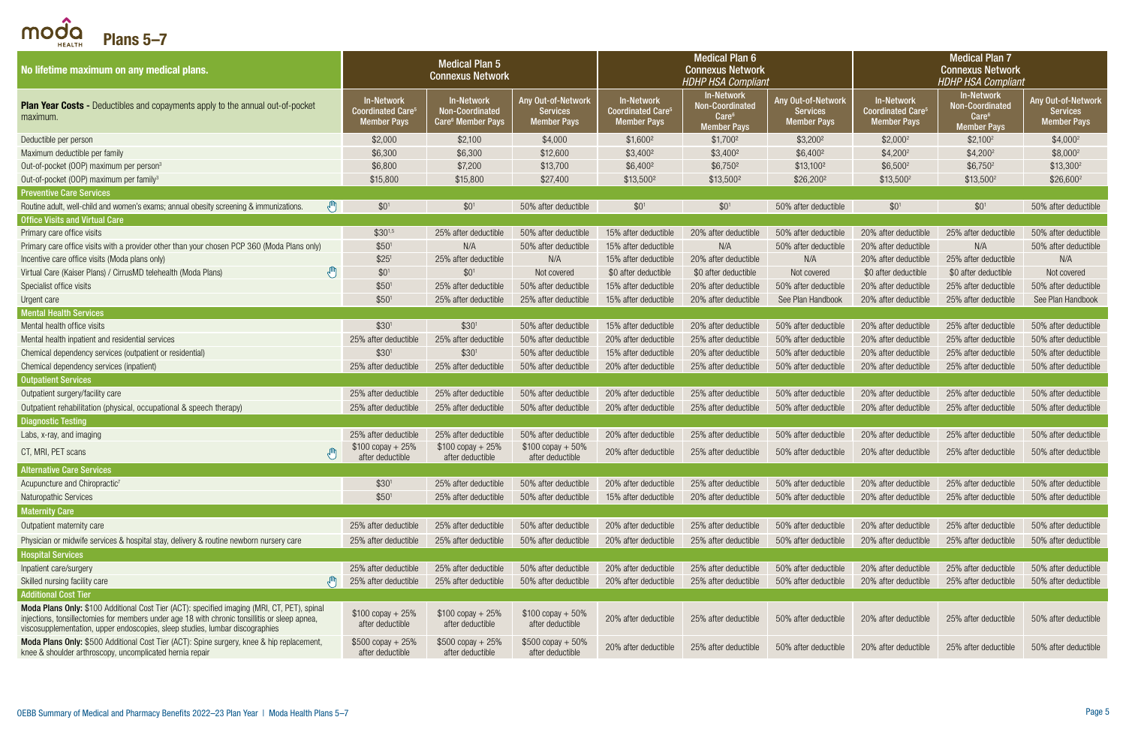<span id="page-4-0"></span> $\bigcap \bigcirc_{H\in ALTH}^{\widehat{\bullet}}$  Plans 5-7

| No lifetime maximum on any medical plans.                                                                                                                                                                                                                                    | <b>Medical Plan 5</b><br><b>Connexus Network</b>            |                                                                |                                                             | <b>Medical Plan 6</b><br><b>Connexus Network</b><br><b>HDHP HSA Compliant</b> |                                                                          |                                                             | <b>Medical Plan 7</b><br><b>Connexus Network</b><br><b>HDHP HSA Compliant</b>  |                                                                          |                                                             |
|------------------------------------------------------------------------------------------------------------------------------------------------------------------------------------------------------------------------------------------------------------------------------|-------------------------------------------------------------|----------------------------------------------------------------|-------------------------------------------------------------|-------------------------------------------------------------------------------|--------------------------------------------------------------------------|-------------------------------------------------------------|--------------------------------------------------------------------------------|--------------------------------------------------------------------------|-------------------------------------------------------------|
| <b>Plan Year Costs -</b> Deductibles and copayments apply to the annual out-of-pocket<br>maximum.                                                                                                                                                                            | <b>In-Network</b><br><b>Coordinated Care</b><br>Member Pays | In-Network<br>Non-Coordinated<br>Care <sup>6</sup> Member Pays | Any Out-of-Network<br><b>Services</b><br><b>Member Pays</b> | In-Network<br><b>Coordinated Care<sup>®</sup></b><br><b>Member Pays</b>       | In-Network<br>Non-Coordinated<br>Care <sup>6</sup><br><b>Member Pays</b> | Any Out-of-Network<br><b>Services</b><br><b>Member Pays</b> | <b>In-Network</b><br><b>Coordinated Care<sup>5</sup></b><br><b>Member Pays</b> | In-Network<br>Non-Coordinated<br>Care <sup>6</sup><br><b>Member Pays</b> | Any Out-of-Network<br><b>Services</b><br><b>Member Pays</b> |
| Deductible per person                                                                                                                                                                                                                                                        | \$2,000                                                     | \$2,100                                                        | \$4,000                                                     | $$1,600^2$                                                                    | \$1,700 <sup>2</sup>                                                     | $$3,200^2$                                                  | $$2,000^2$                                                                     | $$2,100^2$                                                               | $$4,000^2$                                                  |
| Maximum deductible per family                                                                                                                                                                                                                                                | \$6,300                                                     | \$6,300                                                        | \$12,600                                                    | \$3,400 <sup>2</sup>                                                          | \$3,400 <sup>2</sup>                                                     | \$6,400 <sup>2</sup>                                        | $$4,200^2$                                                                     | $$4,200^2$                                                               | $$8,000^2$                                                  |
| Out-of-pocket (OOP) maximum per person <sup>3</sup>                                                                                                                                                                                                                          | \$6,800                                                     | \$7,200                                                        | \$13,700                                                    | \$6,400 <sup>2</sup>                                                          | \$6,7502                                                                 | \$13,100 <sup>2</sup>                                       | $$6,500^2$                                                                     | $$6,750^2$                                                               | \$13,300 <sup>2</sup>                                       |
| Out-of-pocket (OOP) maximum per family <sup>3</sup>                                                                                                                                                                                                                          | \$15,800                                                    | \$15,800                                                       | \$27,400                                                    | \$13,500 <sup>2</sup>                                                         | \$13,500 <sup>2</sup>                                                    | \$26,2002                                                   | $$13,500^2$                                                                    | $$13,500^2$                                                              | $$26,600^2$                                                 |
| <b>Preventive Care Services</b>                                                                                                                                                                                                                                              |                                                             |                                                                |                                                             |                                                                               |                                                                          |                                                             |                                                                                |                                                                          |                                                             |
| Routine adult, well-child and women's exams; annual obesity screening & immunizations.                                                                                                                                                                                       | \$0 <sup>1</sup>                                            | $$0^1$                                                         | 50% after deductible                                        | \$0 <sup>1</sup>                                                              | \$0 <sup>1</sup>                                                         | 50% after deductible                                        | \$0 <sup>1</sup>                                                               | $$0^1$                                                                   | 50% after deductible                                        |
| <b>Office Visits and Virtual Care</b>                                                                                                                                                                                                                                        |                                                             |                                                                |                                                             |                                                                               |                                                                          |                                                             |                                                                                |                                                                          |                                                             |
| Primary care office visits                                                                                                                                                                                                                                                   | $$30^{1,5}$                                                 | 25% after deductible                                           | 50% after deductible                                        | 15% after deductible                                                          | 20% after deductible                                                     | 50% after deductible                                        | 20% after deductible                                                           | 25% after deductible                                                     | 50% after deductible                                        |
| Primary care office visits with a provider other than your chosen PCP 360 (Moda Plans only)                                                                                                                                                                                  | \$50 <sup>1</sup>                                           | N/A                                                            | 50% after deductible                                        | 15% after deductible                                                          | N/A                                                                      | 50% after deductible                                        | 20% after deductible                                                           | N/A                                                                      | 50% after deductible                                        |
| Incentive care office visits (Moda plans only)                                                                                                                                                                                                                               | \$25 <sup>1</sup>                                           | 25% after deductible                                           | N/A                                                         | 15% after deductible                                                          | 20% after deductible                                                     | N/A                                                         | 20% after deductible                                                           | 25% after deductible                                                     | N/A                                                         |
| $\sqrt{m}$<br>Virtual Care (Kaiser Plans) / CirrusMD telehealth (Moda Plans)                                                                                                                                                                                                 | \$0 <sup>1</sup>                                            | \$0 <sup>1</sup>                                               | Not covered                                                 | \$0 after deductible                                                          | \$0 after deductible                                                     | Not covered                                                 | \$0 after deductible                                                           | \$0 after deductible                                                     | Not covered                                                 |
| Specialist office visits                                                                                                                                                                                                                                                     | \$50 <sup>1</sup>                                           | 25% after deductible                                           | 50% after deductible                                        | 15% after deductible                                                          | 20% after deductible                                                     | 50% after deductible                                        | 20% after deductible                                                           | 25% after deductible                                                     | 50% after deductible                                        |
| Urgent care                                                                                                                                                                                                                                                                  | \$50 <sup>1</sup>                                           | 25% after deductible                                           | 25% after deductible                                        | 15% after deductible                                                          | 20% after deductible                                                     | See Plan Handbook                                           | 20% after deductible                                                           | 25% after deductible                                                     | See Plan Handbook                                           |
| <b>Mental Health Services</b>                                                                                                                                                                                                                                                |                                                             |                                                                |                                                             |                                                                               |                                                                          |                                                             |                                                                                |                                                                          |                                                             |
| Mental health office visits                                                                                                                                                                                                                                                  | \$30 <sup>1</sup>                                           | \$30 <sup>1</sup>                                              | 50% after deductible                                        | 15% after deductible                                                          | 20% after deductible                                                     | 50% after deductible                                        | 20% after deductible                                                           | 25% after deductible                                                     | 50% after deductible                                        |
| Mental health inpatient and residential services                                                                                                                                                                                                                             | 25% after deductible                                        | 25% after deductible                                           | 50% after deductible                                        | 20% after deductible                                                          | 25% after deductible                                                     | 50% after deductible                                        | 20% after deductible                                                           | 25% after deductible                                                     | 50% after deductible                                        |
| Chemical dependency services (outpatient or residential)                                                                                                                                                                                                                     | \$30 <sup>1</sup>                                           | \$30 <sup>1</sup>                                              | 50% after deductible                                        | 15% after deductible                                                          | 20% after deductible                                                     | 50% after deductible                                        | 20% after deductible                                                           | 25% after deductible                                                     | 50% after deductible                                        |
| Chemical dependency services (inpatient)                                                                                                                                                                                                                                     | 25% after deductible                                        | 25% after deductible                                           | 50% after deductible                                        | 20% after deductible                                                          | 25% after deductible                                                     | 50% after deductible                                        | 20% after deductible                                                           | 25% after deductible                                                     | 50% after deductible                                        |
| <b>Outpatient Services</b>                                                                                                                                                                                                                                                   |                                                             |                                                                |                                                             |                                                                               |                                                                          |                                                             |                                                                                |                                                                          |                                                             |
| Outpatient surgery/facility care                                                                                                                                                                                                                                             | 25% after deductible                                        | 25% after deductible                                           | 50% after deductible                                        | 20% after deductible                                                          | 25% after deductible                                                     | 50% after deductible                                        | 20% after deductible                                                           | 25% after deductible                                                     | 50% after deductible                                        |
| Outpatient rehabilitation (physical, occupational & speech therapy)                                                                                                                                                                                                          | 25% after deductible                                        | 25% after deductible                                           | 50% after deductible                                        | 20% after deductible                                                          | 25% after deductible                                                     | 50% after deductible                                        | 20% after deductible                                                           | 25% after deductible                                                     | 50% after deductible                                        |
| <b>Diagnostic Testing</b>                                                                                                                                                                                                                                                    |                                                             |                                                                |                                                             |                                                                               |                                                                          |                                                             |                                                                                |                                                                          |                                                             |
| Labs, x-ray, and imaging                                                                                                                                                                                                                                                     | 25% after deductible                                        | 25% after deductible                                           | 50% after deductible                                        | 20% after deductible                                                          | 25% after deductible                                                     | 50% after deductible                                        | 20% after deductible                                                           | 25% after deductible                                                     | 50% after deductible                                        |
| CT, MRI, PET scans                                                                                                                                                                                                                                                           | $$100$ copay + 25%<br>after deductible                      | $$100$ copay + 25%<br>after deductible                         | $$100$ copay + 50%<br>after deductible                      | 20% after deductible                                                          | 25% after deductible                                                     | 50% after deductible                                        | 20% after deductible                                                           | 25% after deductible                                                     | 50% after deductible                                        |
| <b>Alternative Care Services</b>                                                                                                                                                                                                                                             |                                                             |                                                                |                                                             |                                                                               |                                                                          |                                                             |                                                                                |                                                                          |                                                             |
| Acupuncture and Chiropractic <sup>7</sup>                                                                                                                                                                                                                                    | \$30 <sup>1</sup>                                           | 25% after deductible                                           | 50% after deductible                                        | 20% after deductible                                                          | 25% after deductible                                                     | 50% after deductible                                        | 20% after deductible                                                           | 25% after deductible                                                     | 50% after deductible                                        |
| <b>Naturopathic Services</b>                                                                                                                                                                                                                                                 | \$50 <sup>1</sup>                                           | 25% after deductible                                           | 50% after deductible                                        | 15% after deductible                                                          | 20% after deductible                                                     | 50% after deductible                                        | 20% after deductible                                                           | 25% after deductible                                                     | 50% after deductible                                        |
| <b>Maternity Care</b>                                                                                                                                                                                                                                                        |                                                             |                                                                |                                                             |                                                                               |                                                                          |                                                             |                                                                                |                                                                          |                                                             |
| Outpatient maternity care                                                                                                                                                                                                                                                    | 25% after deductible                                        | 25% after deductible                                           | 50% after deductible                                        | 20% after deductible                                                          | 25% after deductible                                                     | 50% after deductible                                        | 20% after deductible                                                           | 25% after deductible                                                     | 50% after deductible                                        |
| Physician or midwife services & hospital stay, delivery & routine newborn nursery care                                                                                                                                                                                       | 25% after deductible                                        | 25% after deductible                                           | 50% after deductible                                        | 20% after deductible                                                          | 25% after deductible                                                     | 50% after deductible                                        | 20% after deductible                                                           | 25% after deductible                                                     | 50% after deductible                                        |
| <b>Hospital Services</b>                                                                                                                                                                                                                                                     |                                                             |                                                                |                                                             |                                                                               |                                                                          |                                                             |                                                                                |                                                                          |                                                             |
| Inpatient care/surgery                                                                                                                                                                                                                                                       | 25% after deductible                                        | 25% after deductible                                           | 50% after deductible                                        | 20% after deductible                                                          | 25% after deductible                                                     | 50% after deductible                                        | 20% after deductible                                                           | 25% after deductible                                                     | 50% after deductible                                        |
| Skilled nursing facility care                                                                                                                                                                                                                                                | 25% after deductible                                        | 25% after deductible                                           | 50% after deductible                                        | 20% after deductible                                                          | 25% after deductible                                                     | 50% after deductible                                        | 20% after deductible                                                           | 25% after deductible                                                     | 50% after deductible                                        |
| <b>Additional Cost Tier</b>                                                                                                                                                                                                                                                  |                                                             |                                                                |                                                             |                                                                               |                                                                          |                                                             |                                                                                |                                                                          |                                                             |
| Moda Plans Only: \$100 Additional Cost Tier (ACT): specified imaging (MRI, CT, PET), spinal<br>injections, tonsillectomies for members under age 18 with chronic tonsillitis or sleep apnea,<br>viscosupplementation, upper endoscopies, sleep studies, lumbar discographies | $$100$ copay + 25%<br>after deductible                      | $$100$ copay + 25%<br>after deductible                         | $$100$ copay + 50%<br>after deductible                      | 20% after deductible                                                          | 25% after deductible                                                     | 50% after deductible                                        | 20% after deductible                                                           | 25% after deductible                                                     | 50% after deductible                                        |
| Moda Plans Only: \$500 Additional Cost Tier (ACT): Spine surgery, knee & hip replacement,<br>knee & shoulder arthroscopy, uncomplicated hernia repair                                                                                                                        | $$500$ copay + 25%<br>after deductible                      | $$500$ copay + 25%<br>after deductible                         | $$500$ copay + 50%<br>after deductible                      | 20% after deductible                                                          | 25% after deductible                                                     | 50% after deductible                                        | 20% after deductible                                                           | 25% after deductible                                                     | 50% after deductible                                        |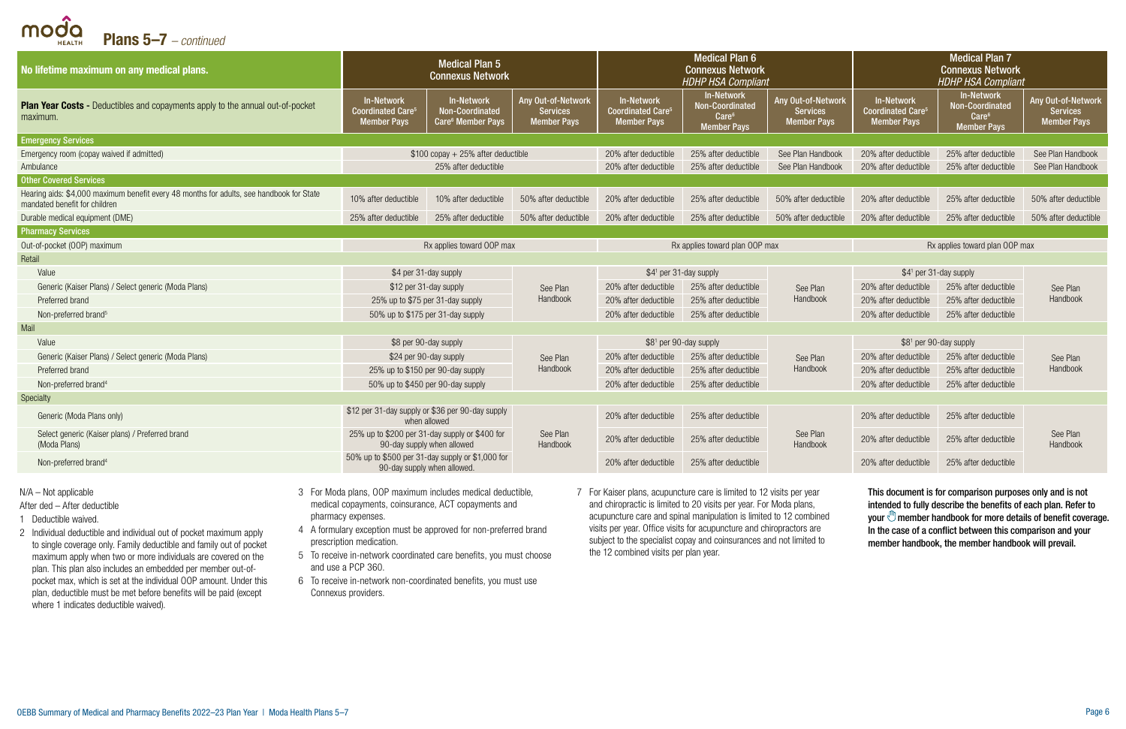Plans 5–7 *– continued*

| No lifetime maximum on any medical plans.                                                                                 | <b>Medical Plan 5</b><br><b>Connexus Network</b>                                |                                                                       |                                                             | <b>Medical Plan 6</b><br><b>Connexus Network</b><br><b>HDHP HSA Compliant</b>  |                                                                                 |                                                             | <b>Medical Plan 7</b><br><b>Connexus Network</b><br><b>HDHP HSA Compliant</b>  |                                                                                        |                                                             |
|---------------------------------------------------------------------------------------------------------------------------|---------------------------------------------------------------------------------|-----------------------------------------------------------------------|-------------------------------------------------------------|--------------------------------------------------------------------------------|---------------------------------------------------------------------------------|-------------------------------------------------------------|--------------------------------------------------------------------------------|----------------------------------------------------------------------------------------|-------------------------------------------------------------|
| <b>Plan Year Costs -</b> Deductibles and copayments apply to the annual out-of-pocket<br>maximum.                         | In-Network<br><b>Coordinated Care<sup>®</sup></b><br><b>Member Pays</b>         | <b>In-Network</b><br>Non-Coordinated<br>Care <sup>6</sup> Member Pays | Any Out-of-Network<br><b>Services</b><br><b>Member Pays</b> | <b>In-Network</b><br><b>Coordinated Care<sup>5</sup></b><br><b>Member Pays</b> | In-Network<br><b>Non-Coordinated</b><br>Care <sup>6</sup><br><b>Member Pays</b> | Any Out-of-Network<br><b>Services</b><br><b>Member Pays</b> | <b>In-Network</b><br><b>Coordinated Care<sup>5</sup></b><br><b>Member Pays</b> | <b>In-Network</b><br><b>Non-Coordinated</b><br>Care <sup>6</sup><br><b>Member Pays</b> | Any Out-of-Network<br><b>Services</b><br><b>Member Pays</b> |
| <b>Emergency Services</b>                                                                                                 |                                                                                 |                                                                       |                                                             |                                                                                |                                                                                 |                                                             |                                                                                |                                                                                        |                                                             |
| Emergency room (copay waived if admitted)                                                                                 |                                                                                 | $$100$ copay + 25% after deductible                                   |                                                             | 20% after deductible                                                           | 25% after deductible                                                            | See Plan Handbook                                           | 20% after deductible                                                           | 25% after deductible                                                                   | See Plan Handbook                                           |
| Ambulance                                                                                                                 |                                                                                 | 25% after deductible                                                  |                                                             | 20% after deductible                                                           | 25% after deductible                                                            | See Plan Handbook                                           | 20% after deductible                                                           | 25% after deductible                                                                   | See Plan Handbook                                           |
| <b>Other Covered Services</b>                                                                                             |                                                                                 |                                                                       |                                                             |                                                                                |                                                                                 |                                                             |                                                                                |                                                                                        |                                                             |
| Hearing aids: \$4,000 maximum benefit every 48 months for adults, see handbook for State<br>mandated benefit for children | 10% after deductible                                                            | 10% after deductible                                                  | 50% after deductible                                        | 20% after deductible                                                           | 25% after deductible                                                            | 50% after deductible                                        | 20% after deductible                                                           | 25% after deductible                                                                   | 50% after deductible                                        |
| Durable medical equipment (DME)                                                                                           | 25% after deductible                                                            | 25% after deductible                                                  | 50% after deductible                                        | 20% after deductible                                                           | 25% after deductible                                                            | 50% after deductible                                        | 20% after deductible                                                           | 25% after deductible                                                                   | 50% after deductible                                        |
| <b>Pharmacy Services</b>                                                                                                  |                                                                                 |                                                                       |                                                             |                                                                                |                                                                                 |                                                             |                                                                                |                                                                                        |                                                             |
| Out-of-pocket (OOP) maximum                                                                                               | Rx applies toward OOP max                                                       |                                                                       |                                                             | Rx applies toward plan OOP max                                                 |                                                                                 |                                                             |                                                                                | Rx applies toward plan OOP max                                                         |                                                             |
| Retail                                                                                                                    |                                                                                 |                                                                       |                                                             |                                                                                |                                                                                 |                                                             |                                                                                |                                                                                        |                                                             |
| Value                                                                                                                     | \$4 per 31-day supply                                                           |                                                                       |                                                             | \$41 per 31-day supply                                                         |                                                                                 |                                                             | \$4 <sup>1</sup> per 31-day supply                                             |                                                                                        |                                                             |
| Generic (Kaiser Plans) / Select generic (Moda Plans)                                                                      | \$12 per 31-day supply                                                          |                                                                       | See Plan                                                    | 20% after deductible                                                           | 25% after deductible                                                            | See Plan                                                    | 20% after deductible                                                           | 25% after deductible                                                                   | See Plan<br>Handbook                                        |
| Preferred brand                                                                                                           | 25% up to \$75 per 31-day supply                                                |                                                                       | Handbook                                                    | 20% after deductible                                                           | 25% after deductible                                                            | Handbook                                                    | 20% after deductible                                                           | 25% after deductible                                                                   |                                                             |
| Non-preferred brand <sup>5</sup>                                                                                          | 50% up to \$175 per 31-day supply                                               |                                                                       |                                                             | 20% after deductible                                                           | 25% after deductible                                                            |                                                             | 20% after deductible                                                           | 25% after deductible                                                                   |                                                             |
| Mail                                                                                                                      |                                                                                 |                                                                       |                                                             |                                                                                |                                                                                 |                                                             |                                                                                |                                                                                        |                                                             |
| Value                                                                                                                     | \$8 per 90-day supply                                                           |                                                                       |                                                             | \$81 per 90-day supply                                                         |                                                                                 |                                                             | \$8 <sup>1</sup> per 90-day supply                                             |                                                                                        |                                                             |
| Generic (Kaiser Plans) / Select generic (Moda Plans)                                                                      | \$24 per 90-day supply                                                          |                                                                       | See Plan                                                    | 20% after deductible                                                           | 25% after deductible                                                            | See Plan                                                    | 20% after deductible                                                           | 25% after deductible                                                                   | See Plan                                                    |
| Preferred brand                                                                                                           | 25% up to \$150 per 90-day supply                                               |                                                                       | Handbook                                                    | 20% after deductible                                                           | 25% after deductible                                                            | Handbook                                                    | 20% after deductible                                                           | 25% after deductible                                                                   | Handbook                                                    |
| Non-preferred brand <sup>4</sup>                                                                                          | 50% up to \$450 per 90-day supply                                               |                                                                       |                                                             | 20% after deductible                                                           | 25% after deductible                                                            |                                                             | 20% after deductible                                                           | 25% after deductible                                                                   |                                                             |
| <b>Specialty</b>                                                                                                          |                                                                                 |                                                                       |                                                             |                                                                                |                                                                                 |                                                             |                                                                                |                                                                                        |                                                             |
| Generic (Moda Plans only)                                                                                                 | \$12 per 31-day supply or \$36 per 90-day supply<br>when allowed                |                                                                       |                                                             | 20% after deductible                                                           | 25% after deductible                                                            |                                                             | 20% after deductible                                                           | 25% after deductible                                                                   | See Plan<br>Handbook                                        |
| Select generic (Kaiser plans) / Preferred brand<br>(Moda Plans)                                                           | 25% up to \$200 per 31-day supply or \$400 for<br>90-day supply when allowed    |                                                                       | See Plan<br>Handbook                                        | 20% after deductible                                                           | 25% after deductible                                                            | See Plan<br>Handbook                                        | 20% after deductible                                                           | 25% after deductible                                                                   |                                                             |
| Non-preferred brand <sup>4</sup>                                                                                          | 50% up to \$500 per 31-day supply or \$1,000 for<br>90-day supply when allowed. |                                                                       |                                                             | 20% after deductible                                                           | 25% after deductible                                                            |                                                             | 20% after deductible                                                           | 25% after deductible                                                                   |                                                             |

N/A – Not applicable

modo

After ded – After deductible

- 1 Deductible waived.
- 2 Individual deductible and individual out of pocket maximum apply to single coverage only. Family deductible and family out of pocket maximum apply when two or more individuals are covered on the plan. This plan also includes an embedded per member out-ofpocket max, which is set at the individual OOP amount. Under this plan, deductible must be met before benefits will be paid (except where 1 indicates deductible waived).
- 3 For Moda plans, OOP maximum includes medical deductible, medical copayments, coinsurance, ACT copayments and pharmacy expenses.
- 4 A formulary exception must be approved for non-preferred brand prescription medication.
- 5 To receive in-network coordinated care benefits, you must choose and use a PCP 360.
- 6 To receive in-network non-coordinated benefits, you must use Connexus providers.
- 7 For Kaiser plans, acupuncture care is limited to 12 visits per year and chiropractic is limited to 20 visits per year. For Moda plans, acupuncture care and spinal manipulation is limited to 12 combined visits per year. Office visits for acupuncture and chiropractors are subject to the specialist copay and coinsurances and not limited to the 12 combined visits per plan year.

This document is for comparison purposes only and is not intended to fully describe the benefits of each plan. Refer to your  $\mathbb{U}$  member handbook for more details of benefit coverage. In the case of a conflict between this comparison and your member handbook, the member handbook will prevail.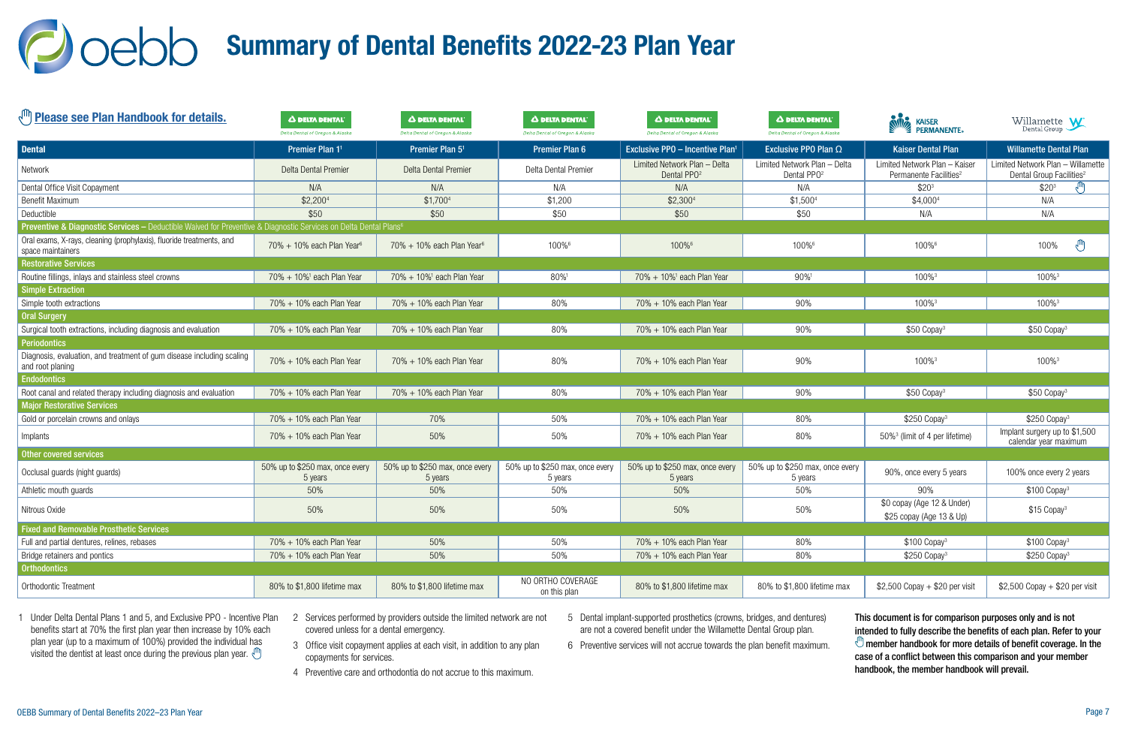### <span id="page-6-0"></span>Joebb Summary of Dental Benefits 2022-23 Plan Year

| <b>(III)</b> Please see Plan Handbook for details.                                                                           | Δ DELTA DENTAL'<br>Delta Dental of Oregon & Alaska | <b>A DELTA DENTAL</b><br>Delta Dental of Oregon & Alaska | Δ DELTA DENTAL<br>Delta Dental of Oregon & Alaska | A DELTA DENTAL'<br>Delta Dental of Oregon & Alaska      | A DELTA DENTAL<br>Delta Dental of Oregon & Alaska       | <b>STE</b><br><b>KAISER</b><br><b>ERMANENTE</b>                     | Willamette $\mathbf{W}$                                                   |
|------------------------------------------------------------------------------------------------------------------------------|----------------------------------------------------|----------------------------------------------------------|---------------------------------------------------|---------------------------------------------------------|---------------------------------------------------------|---------------------------------------------------------------------|---------------------------------------------------------------------------|
| <b>Dental</b>                                                                                                                | Premier Plan 1 <sup>1</sup>                        | Premier Plan 5 <sup>1</sup>                              | <b>Premier Plan 6</b>                             | <b>Exclusive PPO - Incentive Plan<sup>1</sup></b>       | Exclusive PPO Plan $\Omega$                             | <b>Kaiser Dental Plan</b>                                           | <b>Willamette Dental Plan</b>                                             |
| Network                                                                                                                      | Delta Dental Premier                               | Delta Dental Premier                                     | Delta Dental Premier                              | Limited Network Plan - Delta<br>Dental PPO <sup>2</sup> | Limited Network Plan - Delta<br>Dental PPO <sup>2</sup> | Limited Network Plan - Kaiser<br>Permanente Facilities <sup>2</sup> | Limited Network Plan - Willamette<br>Dental Group Facilities <sup>2</sup> |
| Dental Office Visit Copayment                                                                                                | N/A                                                | N/A                                                      | N/A                                               | N/A                                                     | N/A                                                     | \$20 <sup>3</sup>                                                   | \$20 <sup>3</sup>                                                         |
| <b>Benefit Maximum</b>                                                                                                       | \$2,2004                                           | \$1,7004                                                 | \$1,200                                           | \$2,3004                                                | \$1,500 <sup>4</sup>                                    | \$4,0004                                                            | N/A                                                                       |
| Deductible                                                                                                                   | \$50                                               | \$50                                                     | \$50                                              | \$50                                                    | \$50                                                    | N/A                                                                 | N/A                                                                       |
| Preventive & Diagnostic Services - Deductible Waived for Preventive & Diagnostic Services on Delta Dental Plans <sup>6</sup> |                                                    |                                                          |                                                   |                                                         |                                                         |                                                                     |                                                                           |
| Oral exams, X-rays, cleaning (prophylaxis), fluoride treatments, and<br>space maintainers                                    | $70\% + 10\%$ each Plan Year <sup>6</sup>          | $70\% + 10\%$ each Plan Year <sup>6</sup>                | 100%6                                             | 100%6                                                   | 100%6                                                   | 100%6                                                               | $\mathbb{A}^{\mathbb{Z}}$<br>100%                                         |
| <b>Restorative Services</b>                                                                                                  |                                                    |                                                          |                                                   |                                                         |                                                         |                                                                     |                                                                           |
| Routine fillings, inlays and stainless steel crowns                                                                          | $70\% + 10\%$ <sup>1</sup> each Plan Year          | $70\% + 10\%$ <sup>1</sup> each Plan Year                | 80%1                                              | $70\% + 10\%$ <sup>1</sup> each Plan Year               | 90%                                                     | 100% <sup>3</sup>                                                   | 100% <sup>3</sup>                                                         |
| <b>Simple Extraction</b>                                                                                                     |                                                    |                                                          |                                                   |                                                         |                                                         |                                                                     |                                                                           |
| Simple tooth extractions                                                                                                     | 70% + 10% each Plan Year                           | 70% + 10% each Plan Year                                 | 80%                                               | 70% + 10% each Plan Year                                | 90%                                                     | 100%3                                                               | 100%3                                                                     |
| <b>Oral Surgery</b>                                                                                                          |                                                    |                                                          |                                                   |                                                         |                                                         |                                                                     |                                                                           |
| Surgical tooth extractions, including diagnosis and evaluation                                                               | $70\% + 10\%$ each Plan Year                       | 70% + 10% each Plan Year                                 | 80%                                               | 70% + 10% each Plan Year                                | 90%                                                     | $$50$ Copay <sup>3</sup>                                            | \$50 Copay <sup>3</sup>                                                   |
| <b>Periodontics</b>                                                                                                          |                                                    |                                                          |                                                   |                                                         |                                                         |                                                                     |                                                                           |
| Diagnosis, evaluation, and treatment of gum disease including scaling<br>and root planing                                    | $70\% + 10\%$ each Plan Year                       | 70% + 10% each Plan Year                                 | 80%                                               | 70% + 10% each Plan Year                                | 90%                                                     | 100% <sup>3</sup>                                                   | 100% <sup>3</sup>                                                         |
| <b>Endodontics</b>                                                                                                           |                                                    |                                                          |                                                   |                                                         |                                                         |                                                                     |                                                                           |
| Root canal and related therapy including diagnosis and evaluation                                                            | 70% + 10% each Plan Year                           | 70% + 10% each Plan Year                                 | 80%                                               | 70% + 10% each Plan Year                                | 90%                                                     | $$50$ Copay <sup>3</sup>                                            | \$50 Copay <sup>3</sup>                                                   |
| <b>Major Restorative Services</b>                                                                                            |                                                    |                                                          |                                                   |                                                         |                                                         |                                                                     |                                                                           |
| Gold or porcelain crowns and onlays                                                                                          | 70% + 10% each Plan Year                           | 70%                                                      | 50%                                               | 70% + 10% each Plan Year                                | 80%                                                     | \$250 Copay <sup>3</sup>                                            | $$250$ Copay <sup>3</sup>                                                 |
| Implants                                                                                                                     | 70% + 10% each Plan Year                           | 50%                                                      | 50%                                               | 70% + 10% each Plan Year                                | 80%                                                     | 50% <sup>3</sup> (limit of 4 per lifetime)                          | Implant surgery up to \$1,500<br>calendar year maximum                    |
| Other covered services                                                                                                       |                                                    |                                                          |                                                   |                                                         |                                                         |                                                                     |                                                                           |
| Occlusal guards (night guards)                                                                                               | 50% up to \$250 max, once every<br>5 years         | 50% up to \$250 max, once every<br>5 years               | 50% up to \$250 max, once every<br>5 years        | 50% up to \$250 max, once every<br>5 years              | 50% up to \$250 max, once every<br>5 years              | 90%, once every 5 years                                             | 100% once every 2 years                                                   |
| Athletic mouth guards                                                                                                        | 50%                                                | 50%                                                      | 50%                                               | 50%                                                     | 50%                                                     | 90%                                                                 | $$100$ Copay <sup>3</sup>                                                 |
| Nitrous Oxide                                                                                                                | 50%                                                | 50%                                                      | 50%                                               | 50%                                                     | 50%                                                     | \$0 copay (Age 12 & Under)<br>\$25 copay (Age 13 & Up)              | \$15 Copay <sup>3</sup>                                                   |
| <b>Fixed and Removable Prosthetic Services</b>                                                                               |                                                    |                                                          |                                                   |                                                         |                                                         |                                                                     |                                                                           |
| Full and partial dentures, relines, rebases                                                                                  | 70% + 10% each Plan Year                           | 50%                                                      | 50%                                               | 70% + 10% each Plan Year                                | 80%                                                     | \$100 Copay <sup>3</sup>                                            | \$100 Copay <sup>3</sup>                                                  |
| Bridge retainers and pontics                                                                                                 | 70% + 10% each Plan Year                           | 50%                                                      | 50%                                               | 70% + 10% each Plan Year                                | 80%                                                     | \$250 Copay <sup>3</sup>                                            | \$250 Copay <sup>3</sup>                                                  |
| <b>Orthodontics</b>                                                                                                          |                                                    |                                                          |                                                   |                                                         |                                                         |                                                                     |                                                                           |
| Orthodontic Treatment                                                                                                        | 80% to \$1,800 lifetime max                        | 80% to \$1,800 lifetime max                              | NO ORTHO COVERAGE<br>on this plan                 | 80% to \$1,800 lifetime max                             | 80% to \$1,800 lifetime max                             | $$2,500$ Copay + \$20 per visit                                     | $$2,500$ Copay + \$20 per visit                                           |

- 1 Under Delta Dental Plans 1 and 5, and Exclusive PPO Incentive Plan benefits start at 70% the first plan year then increase by 10% each plan year (up to a maximum of 100%) provided the individual has visited the dentist at least once during the previous plan year.  $\binom{n}{k}$
- 2 Services performed by providers outside the limited network are not covered unless for a dental emergency.
- 3 Office visit copayment applies at each visit, in addition to any plan copayments for services.
- 4 Preventive care and orthodontia do not accrue to this maximum.
- 5 Dental implant-supported prosthetics (crowns, bridges, and dentures) are not a covered benefit under the Willamette Dental Group plan.
- 6 Preventive services will not accrue towards the plan benefit maximum.

This document is for comparison purposes only and is not intended to fully describe the benefits of each plan. Refer to your  $\mathbb{C}$  member handbook for more details of benefit coverage. In the case of a conflict between this comparison and your member handbook, the member handbook will prevail.